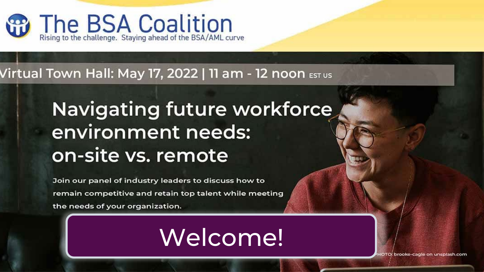

# Navigating future workforce environment needs: on-site vs. remote

Join our panel of industry leaders to discuss how to remain competitive and retain top talent while meeting the needs of your organization.

# Welcome!

OTO: brooke-cagle on unsplash.com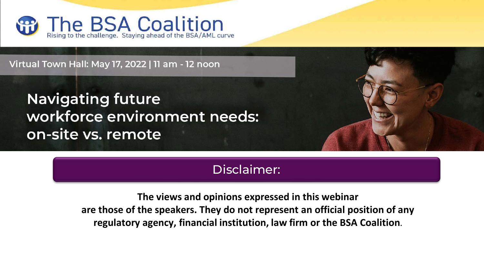

NONCONFIDENTIAL // EXTERNAL // EXTERNAL // EXTERNAL //

# **Navigating future** workforce environment needs: on-site vs. remote



### Disclaimer:

**The views and opinions expressed in this webinar are those of the speakers. They do not represent an official position of any regulatory agency, financial institution, law firm or the BSA Coalition.**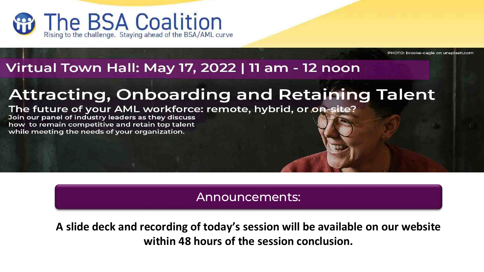

PHOTO: brooke-cagle on unsplash.com

### Virtual Town Hall: May 17, 2022 | 11 am - 12 noon

# **Attracting, Onboarding and Retaining Talent**

The future of your AML workforce: remote, hybrid, or on-site?

Join our panel of industry leaders as they discuss how to remain competitive and retain top talent while meeting the needs of your organization.

#### Announcements:

**A slide deck and recording of today's session will be available on our website within 48 hours of the session conclusion.**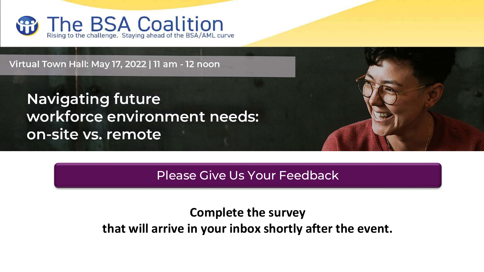

NONCONFIDENTIAL // EXTERNAL // EXTERNAL // EXTERNAL //

# **Navigating future** workforce environment needs: on-site vs. remote



Please Give Us Your Feedback

**Complete the survey that will arrive in your inbox shortly after the event.**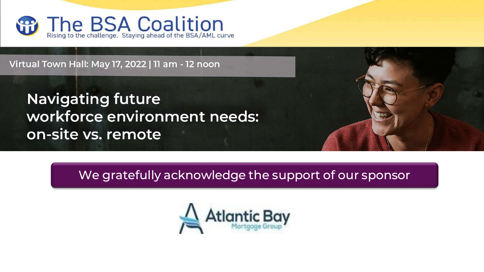

NONCONFIDENTIAL // EXTERNAL // EXTERNAL // EXTERNAL //

**Navigating future** workforce environment needs: on-site vs. remote



We gratefully acknowledge the support of our sponsor

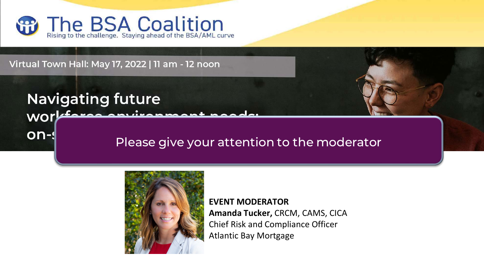

NONCONFIDENTIAL // EXTERNAL // EXTERNAL // EXTERNAL //

### **Navigating future** <u>tavaa aminanmaant naada</u> **wor** on-

### Please give your attention to the moderator



#### **EVENT MODERATOR**

**Amanda Tucker,** CRCM, CAMS, CICA Chief Risk and Compliance Officer Atlantic Bay Mortgage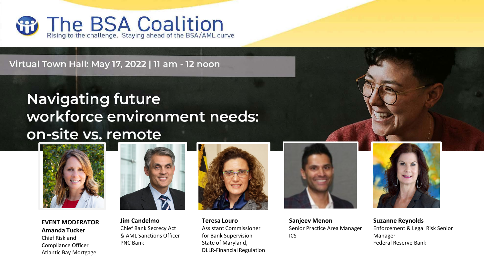

# **Navigating future** workforce environment needs: on-site vs. remote



NONCONFIDENTIAL // EXTERNAL // EXTERNAL // EXTERNAL //

**EVENT MODERATOR Amanda Tucker** Chief Risk and

Compliance Officer Atlantic Bay Mortgage



**Jim Candelmo** Chief Bank Secrecy Act & AML Sanctions Officer PNC Bank



**Teresa Louro**  Assistant Commissioner for Bank Supervision State of Maryland, DLLR-Financial Regulation



**Sanjeev Menon** Senior Practice Area Manager ICS



**Suzanne Reynolds** Enforcement & Legal Risk Senior Manager Federal Reserve Bank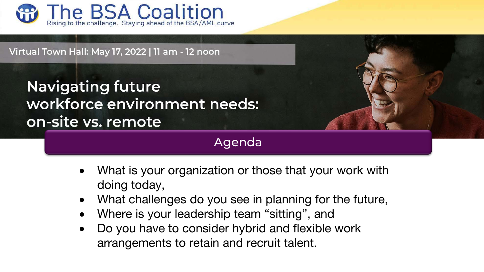

## **Navigating future** workforce environment needs: on-site vs. remote

### Agenda

- What is your organization or those that your work with doing today,
- What challenges do you see in planning for the future,
- Where is your leadership team "sitting", and
- Do you have to consider hybrid and flexible work arrangements to retain and recruit talent.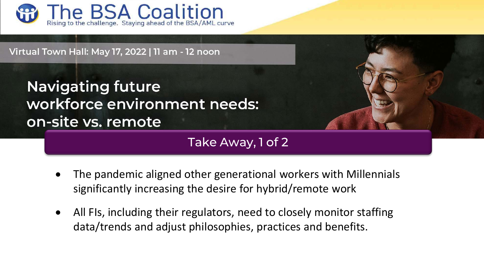

# **Navigating future** workforce environment needs: on-site vs. remote

### Take Away, 1 of 2

- The pandemic aligned other generational workers with Millennials significantly increasing the desire for hybrid/remote work
- All FIs, including their regulators, need to closely monitor staffing data/trends and adjust philosophies, practices and benefits.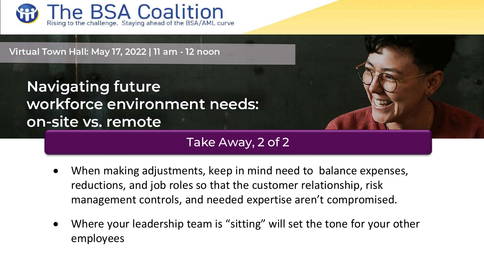

# **Navigating future** workforce environment needs: on-site vs. remote

### Take Away, 2 of 2

- When making adjustments, keep in mind need to balance expenses, reductions, and job roles so that the customer relationship, risk management controls, and needed expertise aren't compromised.
- Where your leadership team is "sitting" will set the tone for your other employees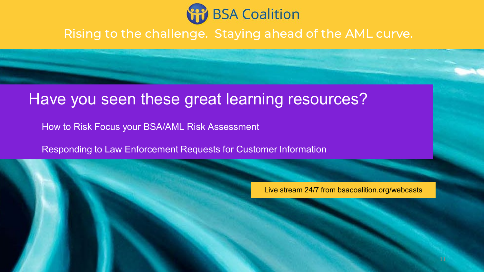

Rising to the challenge. Staying ahead of the AML curve.

## Have you seen these great learning resources?

How to Risk Focus your BSA/AML Risk Assessment

Responding to Law Enforcement Requests for Customer Information

Live stream 24/7 from bsacoalition.org/webcasts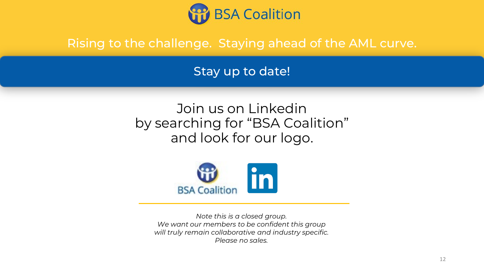

### Rising to the challenge. Staying ahead of the AML curve.

Stay up to date!

### Join us on Linkedin by searching for "BSA Coalition" and look for our logo.



*Note this is a closed group. We want our members to be confident this group will truly remain collaborative and industry specific. Please no sales.*